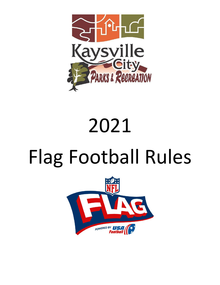

# 2021

# Flag Football Rules

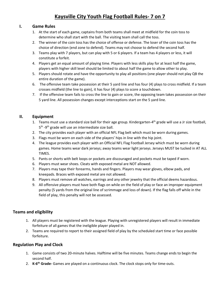# **Kaysville City Youth Flag Football Rules- 7 on 7**

#### **I. Game Rules**

- 1. At the start of each game, captains from both teams shall meet at midfield for the coin toss to determine who shall start with the ball. The visiting team shall call the toss.
- 2. The winner of the coin toss has the choice of offense or defense. The loser of the coin toss has the choice of direction (end zone to defend). Teams may not choose to defend the second half.
- 3. Teams play with 7 players, but can play with 5 or 6 players. If a team has 4 players or less, it will constitute a forfeit.
- 4. Players get an equal amount of playing time. Players with less skills play for at least half the game, players with higher skill level should be limited to about half the game to allow other to play.
- 5. Players should rotate and have the opportunity to play all positions (one player should not play QB the entire duration of the game).
- 6. The offensive team take possession at their 5 yard line and has four (4) plays to cross midfield. If a team crosses midfield (the line to gain), it has four (4) plays to score a touchdown.
- 7. If the offensive team fails to cross the line to gain or score, the opposing team takes possession on their 5 yard line. All possession changes except interceptions start on the 5 yard line.

# **II. Equipment**

- 1. Teams must use a standard size ball for their age group. Kindergarten-4<sup>th</sup> grade will use a Jr size football, 5<sup>th</sup> -9<sup>th</sup> grade will use an intermediate size ball.
- 2. The city provides each player with an official NFL Flag belt which must be worn during games.
- 3. Flags must be worn on each side of the players' hips in line with the hip joint.
- 4. The league provides each player with an Official NFL Flag Football Jersey which must be worn during games. Home teams wear dark jerseys; away teams wear light jerseys. Jerseys MUST be tucked in AT ALL TIMES.
- 5. Pants or shorts with belt loops or pockets are discouraged and pockets must be taped if worn.
- 6. Players must wear shoes. Cleats with exposed metal are NOT allowed.
- 7. Players may tape their forearms, hands and fingers. Players may wear gloves, elbow pads, and kneepads. Braces with exposed metal are not allowed.
- 8. Players must remove all watches, earrings and any other jewelry that the official deems hazardous.
- 9. All offensive players must have both flags on while on the field of play or face an improper equipment penalty (5 yards from the original line of scrimmage and loss of down). If the flag falls off while in the field of play, this penalty will not be assessed.

#### **Teams and eligibility**

- 1. All players must be registered with the league. Playing with unregistered players will result in immediate forfeiture of all games that the ineligible player played in.
- 2. Teams are required to report to their assigned field of play by the scheduled start time or face possible forfeiture.

#### **Regulation Play and Clock**

- 1. Game consists of two 20-minute halves. Halftime will be five minutes. Teams change ends to begin the second half.
- 2. **K-6 th Grade-** Games are played on a continuous clock. The clock stops only for time-outs.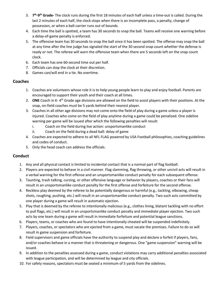- 3. **7 th -9 th Grade-** The clock runs during the first 18 minutes of each half unless a time-out is called. During the last 2 minutes of each half, the clock stops when there is an incomplete pass, a penalty, change of possession, or when a ball-carrier runs out of bounds.
- 4. Each time the ball is spotted, a team has 30 seconds to snap the ball. Teams will receive one warning before a delay-of-game penalty is enforced.
- 5. The offensive team has 30 seconds to snap the ball once it has been spotted. The offense may snap the ball at any time after the line judge has signaled the start of the 30 second snap count whether the defense is ready or not. The referee will warn the offensive team when there are 5 seconds left on the snap count clock.
- 6. Each team has one 60-second time out per half.
- 7. Officials can stop the clock at their discretion.
- 8. Games can/will end in a tie. No overtime.

#### **Coaches**

- 1. Coaches are volunteers whose role it is to help young people learn to play and enjoy football. Parents are encouraged to support their youth and their coach at all times.
- 2. ONE Coach in K-4<sup>th</sup> Grade age divisions are allowed on the field to assist players with their positions. At the snap, on-field coaches must be 5 yards behind their nearest player.
- 3. Coaches in all other age divisions may not come onto the field of play during a game unless a player is injured. Coaches who come on the field of play anytime during a game could be penalized. One sideline warning per game will be issued after which the following penalties will result:
	- i. Coach on the field during live action: unsportsmanlike conduct
	- ii. Coach on the field during a dead ball: delay of game
- 4. Coaches are expected to adhere to all NFL FLAG powered by USA Football philosophies, coaching guidelines and codes of conduct.
- 5. Only the head coach can address the officials.

#### **Conduct**

- 1. Any and all physical contact is limited to incidental contact that is a normal part of flag football.
- 2. Players are expected to behave in a civil manner. Flag slamming, flag throwing, or other uncivil acts will result in a verbal warning for the first offense and an unsportsmanlike conduct penalty for each subsequent offense.
- 3. Taunting, trash talking, cursing, or other offensive language or behavior by players, coaches or their fans will result in an unsportsmanlike conduct penalty for the first offense and forfeiture for the second offense.
- 4. Reckless play deemed by the referee to be potentially dangerous or harmful (e.g., tackling, elbowing, cheap shots, roughing, pushing, etc.) will result in an unsportsmanlike conduct penalty. Two such acts committed by one player during a game will result in automatic ejection.
- 5. Play that is deemed by the referee to intentionally malicious (e.g., clothes lining, blatant tackling with no effort to pull flags, etc.) will result in an unsportsmanlike conduct penalty and immediate player ejection. Two such acts by one team during a game will result in immediate forfeiture and potential league sanctions.
- 6. Players, teams, or coaches who are found to have intentionally cheated will be suspended indefinitely.
- 7. Players, coaches, or spectators who are ejected from a game, must vacate the premises. Failure to do so will result in game suspension and forfeiture.
- 8. Field supervisors and game officials have the authority to suspend play and declare a forfeit if players, fans, and/or coaches behave in a manner that is threatening or dangerous. One "game suspension" warning will be issued.
- 9. In addition to the penalties assessed during a game, conduct violations may carry additional penalties associated with league participation, and will be determined by league and city officials.
- 10. For safety reasons, spectators must be seated a minimum of 5 yards from the sidelines.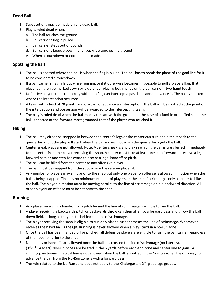# **Dead Ball**

- 1. Substitutions may be made on any dead ball.
- 2. Play is ruled dead when:
	- a. The ball touches the ground
	- b. Ball carrier's flag is pulled
	- c. Ball carrier steps out of bounds
	- d. Ball carrier's knee, elbow, hip, or backside touches the ground
	- e. When a touchdown or extra point is made.

# **Spotting the ball**

- 1. The ball is spotted where the ball is when the flag is pulled. The ball has to break the plane of the goal line for it to be considered a touchdown.
- 2. If a ball carrier's flag falls out while running, or if it otherwise becomes impossible to pull a players flag, that player can then be marked down by a defender placing both hands on the ball carrier. (two hand touch)
- 3. Defensive players that start a play without a flag can intercept a pass but cannot advance it. The ball is spotted where the interception occurred.
- 4. A team with a lead of 28 points or more cannot advance an interception. The ball will be spotted at the point of the interception and possession will be awarded to the intercepting team.
- 5. The play is ruled dead when the ball makes contact with the ground. In the case of a fumble or muffed snap, the ball is spotted at the forward-most grounded foot of the player who touched it.

# **Hiking**

- 1. The ball may either be snapped in between the center's legs or the center can turn and pitch it back to the quarterback, but the play will start when the ball moves, not when the quarterback gets the ball.
- 2. Center sneak plays are not allowed. Note: A center sneak is any play in which the ball is transferred immediately to the center from the player receiving the snap. A center must take at least one step forward to receive a legal forward pass or one step backward to accept a legal handoff or pitch.
- 3. The ball can be hiked from the center to any offensive player.
- 4. The ball must be snapped from the spot where the referee places it.
- 5. Any number of players may shift prior to the snap but only one player on offense is allowed in motion when the ball is being snapped. There is no minimum number of players on the line of scrimmage, only a center to hike the ball. The player in motion must be moving parallel to the line of scrimmage or in a backward direction. All other players on offense must be set prior to the snap.

# **Running**

- 1. Any player receiving a hand-off or a pitch behind the line of scrimmage is eligible to run the ball.
- 2. A player receiving a backwards pitch or backwards throw can then attempt a forward pass and throw the ball down field, as long as they're still behind the line of scrimmage.
- 3. The player receiving the snap is eligible to run only after a rusher crosses the line of scrimmage. Whomever receives the hiked ball is the QB. Running is never allowed when a play starts in a no-run zone.
- 4. Once the ball has been handed off or pitched, all defensive players are eligible to rush the ball carrier regardless of their positon prior to the snap.
- 5. No pitches or handoffs are allowed once the ball has crossed the line of scrimmage (no laterals).
- 6. (3<sup>rd</sup>-9<sup>th</sup> Graders) No-Run Zones are located in the 5 yards before each end zone and center line to gain.. A running play toward the goal line is not allowed when the ball is spotted in the No-Run zone. The only way to advance the ball from the No-Run zone is with a forward pass.
- 7. The rule related to the No-Run zone does not apply to the Kindergarten-2<sup>nd</sup> grade age groups.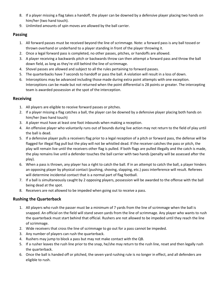- 8. If a player missing a flag takes a handoff, the player can be downed by a defensive player placing two hands on him/her (two hand touch).
- 9. Unlimited amounts of spin moves are allowed by the ball carrier.

# **Passing**

- 1. All forward passes must be received beyond the line of scrimmage. Note: a forward pass is any ball tossed or thrown overhand or underhand to a player standing in front of the player throwing it.
- 2. Once a legal forward pass is completed, no other passes, pitches, or handoffs are allowed.
- 3. A player receiving a backwards pitch or backwards throw can then attempt a forward pass and throw the ball down field, as long as they're still behind the line of scrimmage.
- 4. Shovel passes are allowed and subject to all the rules pertaining to forward passes.
- 5. The quarterbacks have 7 seconds to handoff or pass the ball. A violation will result in a loss of down.
- 6. Interceptions may be advanced including those made during extra point attempts with one exception. Interceptions can be made but not returned when the point differential is 28 points or greater. The intercepting team is awarded possession at the spot of the interception.

# **Receiving**

- 1. All players are eligible to receive forward passes or pitches.
- 2. If a player missing a flag catches a ball, the player can be downed by a defensive player placing both hands on him/her (two hand touch)
- 3. A player must have at least one foot inbounds when making a reception.
- 4. An offensive player who voluntarily runs out of bounds during live action may not return to the field of play until the ball is dead.
- 5. If a defensive player pulls a receivers flag prior to a legal reception of a pitch or forward pass, the defense will be flagged for illegal flag pull but the play will not be whistled dead. If the receiver catches the pass or pitch, the play will remain live until the receivers other flag is pulled. If both flags are pulled illegally and the catch is made, the play remains live until a defender touches the ball carrier with two hands (penalty will be assessed after the play).
- 6. When a pass is thrown, any player has a right to catch the ball. If in an attempt to catch the ball, a player hinders an opposing player by physical contact (pushing, shoving, slapping, etc.) pass interference will result. Referees will determine incidental contact that is a normal part of flag football.
- 7. If a ball is simultaneously caught by 2 opposing players, possession will be awarded to the offense with the ball being dead at the spot.
- 8. Receivers are not allowed to be impeded when going out to receive a pass.

# **Rushing the Quarterback**

- 1. All players who rush the passer must be a minimum of 7 yards from the line of scrimmage when the ball is snapped. An official on the field will stand seven yards from the line of scrimmage. Any player who wants to rush the quarterback must start behind that official. Rushers are not allowed to be impeded until they reach the line of scrimmage.
- 2. Wide receivers that cross the line of scrimmage to go out for a pass cannot be impeded.
- 3. Any number of players can rush the quarterback.
- 4. Rushers may jump to block a pass but may not make contact with the QB.
- 5. If a rusher leaves the rush line prior to the snap, he/she may return to the rush line, reset and then legally rush the quarterback.
- 6. Once the ball is handed off or pitched, the seven yard rushing rule is no longer in effect, and all defenders are eligible to rush.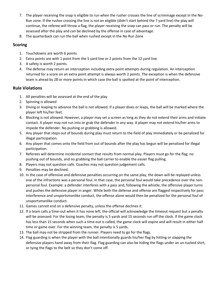- 7. The player receiving the snap is eligible to run when the rusher crosses the line of scrimmage except in the No-Run zone. If the rusher crossing the line is not an eligible (didn't start behind the 7 yard line) the play will continue, the referee will throw a flag, the player receiving the snap can pass or run. The penalty will be assessed after the play and can be declined by the offense in case of advantage.
- 8. The quarterback can run the ball when rushed except in the No Run Zone

## **Scoring**

- 1. Touchdowns are worth 6 points
- 2. Extra points are with 1 point from the 5 yard line or 2 points from the 12 yard line.
- 3. A safety is worth 2 points.
- 4. The defense may return an interception including extra point attempts during regulation. An interception returned for a score on an extra point attempt is always worth 2 points. The exception is when the defensive team is ahead by 28 or more points in which case the ball is spotted at the point of interception.

# **Rule Violations**

- 1. All penalties will be assessed at the end of the play
- 2. Spinning is allowed
- 3. Diving or leaping to advance the ball is not allowed. If a player dives or leaps, the ball will be marked where the player left his/her feet.
- 4. Blocking is not allowed. However, a player may set a screen as long as they do not extend their arms and initiate contact. A player may not run into or grab the defender in any way. A player may not extend his/her arms to impede the defender. No pushing or grabbing is allowed.
- 5. Any player that steps out of bounds during play must return to the field of play immediately or be penalized for illegal participation.
- 6. Any player that comes onto the field from out of bounds after the play has begun will be penalized for illegal participation.
- 7. Referees will determine incidental contact that results from normal play. Players must go for the flag; no pushing out of bounds, and no grabbing the ball carrier to enable the easier flag pulling.
- 8. Players may not question calls. Coaches may not question judgement calls.
- 9. Penalties may be declined.
- 10. In the case of offensive and defensive penalties occurring on the same play, the down will be replayed unless one of the infractions was a personal foul. In that case, the personal foul would take precedence over the nonpersonal foul. Example: a defender interferes with a pass and, following the whistle, the offensive player turns and pushes the defensive player in anger. While both the defense and offense are flagged respectively for pass interference and unsportsmanlike conduct, the offense alone would then be penalized for the personal foul of unsportsmanlike conduct.
- 11. Games cannot end on a defensive penalty, unless the offense declines it.
- 12. If a team calls a time-out when it has none left, the official will acknowledge the timeout request but a penalty will be assessed. For the losing team, the penalty is 5 yards and 15 seconds run off the clock. If the game clock has less than 15 seconds when such a time-out is called, the game clock will expire and will result in either half time or game over. For the winning team, the penalty is 5 yards.
- 13. The ball may not be stripped from the runner. Players need to go for the flags.
- 14. Flag guarding is when the player with the ball intentionally guards his/her flag by hitting or slapping the defensive players hand away from their flag. Flag guarding can also be hiding the flags under an un-tucked shirt, or tying the flags to the belt so they don't come off.